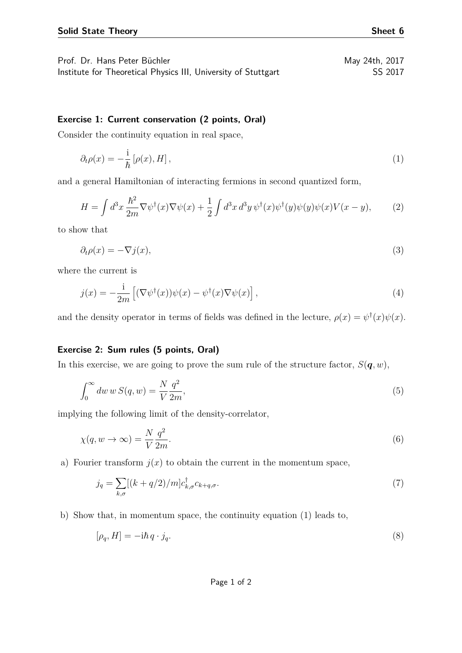## **Exercise 1: Current conservation (2 points, Oral)**

Consider the continuity equation in real space,

<span id="page-0-0"></span>
$$
\partial_t \rho(x) = -\frac{i}{\hbar} \left[ \rho(x), H \right], \tag{1}
$$

and a general Hamiltonian of interacting fermions in second quantized form,

$$
H = \int d^3x \frac{\hbar^2}{2m} \nabla \psi^\dagger(x) \nabla \psi(x) + \frac{1}{2} \int d^3x \, d^3y \, \psi^\dagger(x) \psi^\dagger(y) \psi(y) \psi(x) V(x - y), \tag{2}
$$

to show that

$$
\partial_t \rho(x) = -\nabla j(x),\tag{3}
$$

where the current is

$$
j(x) = -\frac{1}{2m} \left[ (\nabla \psi^{\dagger}(x)) \psi(x) - \psi^{\dagger}(x) \nabla \psi(x) \right], \tag{4}
$$

and the density operator in terms of fields was defined in the lecture,  $\rho(x) = \psi^{\dagger}(x)\psi(x)$ .

## **Exercise 2: Sum rules (5 points, Oral)**

In this exercise, we are going to prove the sum rule of the structure factor,  $S(\boldsymbol{q}, w)$ ,

$$
\int_0^\infty dw \, w \, S(q, w) = \frac{N}{V} \frac{q^2}{2m},\tag{5}
$$

implying the following limit of the density-correlator,

$$
\chi(q, w \to \infty) = \frac{N}{V} \frac{q^2}{2m}.
$$
\n<sup>(6)</sup>

a) Fourier transform  $j(x)$  to obtain the current in the momentum space,

$$
j_q = \sum_{k,\sigma} [(k+q/2)/m] c_{k,\sigma}^\dagger c_{k+q,\sigma}.
$$
\n<sup>(7)</sup>

b) Show that, in momentum space, the continuity equation [\(1\)](#page-0-0) leads to,

$$
[\rho_q, H] = -i\hbar q \cdot j_q. \tag{8}
$$